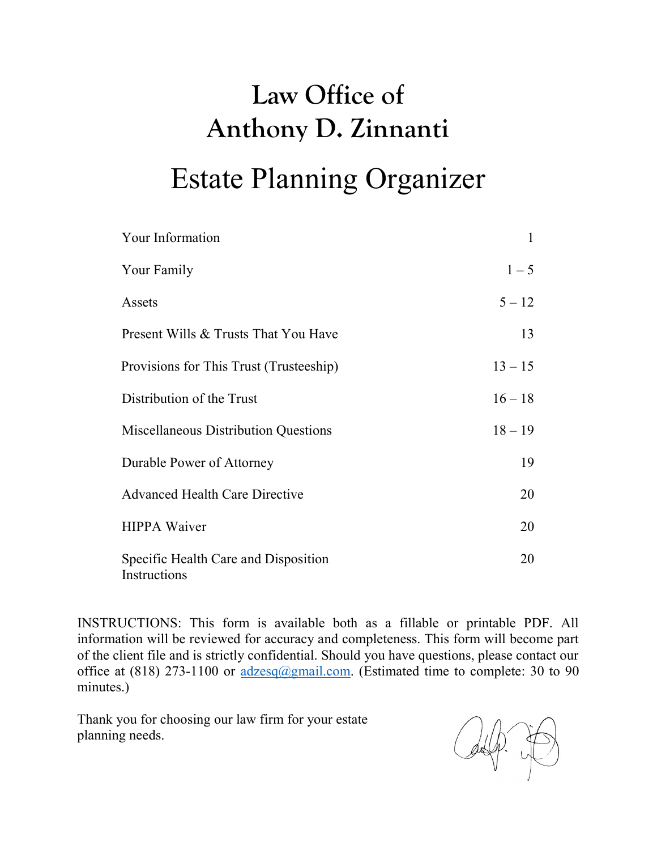| Your Information                                     | 1         |
|------------------------------------------------------|-----------|
| Your Family                                          | $1 - 5$   |
| Assets                                               | $5 - 12$  |
| Present Wills & Trusts That You Have                 | 13        |
| Provisions for This Trust (Trusteeship)              | $13 - 15$ |
| Distribution of the Trust                            | $16 - 18$ |
| Miscellaneous Distribution Questions                 | $18 - 19$ |
| Durable Power of Attorney                            | 19        |
| <b>Advanced Health Care Directive</b>                | 20        |
| <b>HIPPA Waiver</b>                                  | 20        |
| Specific Health Care and Disposition<br>Instructions | 20        |

INSTRUCTIONS: This form is available both as a fillable or printable PDF. All information will be reviewed for accuracy and completeness. This form will become part of the client file and is strictly confidential. Should you have questions, please contact our office at (818) 273-1100 or  $\frac{adzesq(\partial gmail.com)}{dzens(1)}$ . (Estimated time to complete: 30 to 90 minutes.)

Thank you for choosing our law firm for your estate planning needs.

 $\mathbb{A}(\mathbb{R})$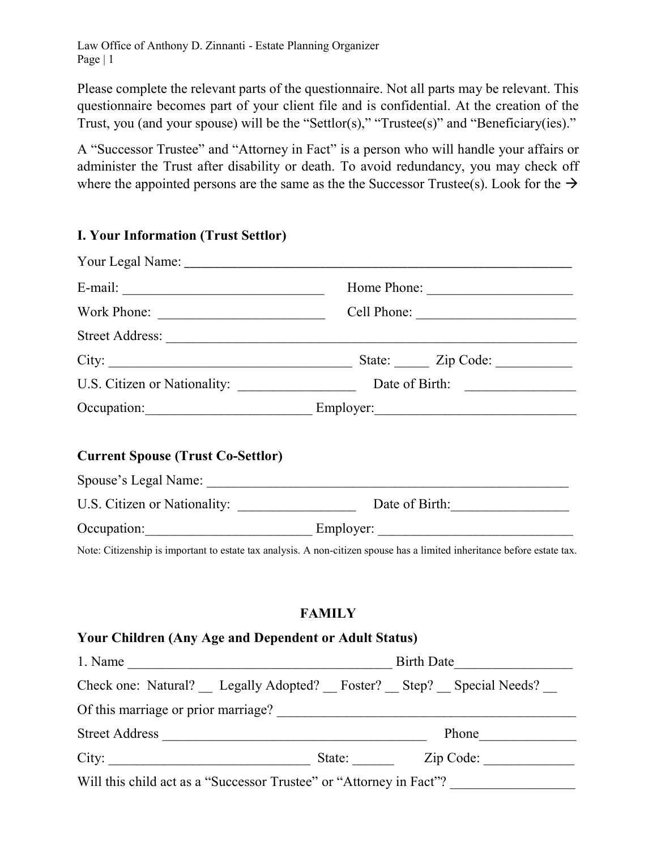Please complete the relevant parts of the questionnaire. Not all parts may be relevant. This questionnaire becomes part of your client file and is confidential. At the creation of the Trust, you (and your spouse) will be the "Settlor(s)," "Trustee(s)" and "Beneficiary(ies)."

A "Successor Trustee" and "Attorney in Fact" is a person who will handle your affairs or administer the Trust after disability or death. To avoid redundancy, you may check off where the appointed persons are the same as the the Successor Trustee(s). Look for the  $\rightarrow$ 

## I. Your Information (Trust Settlor)

|                                          |                                 | Home Phone: |
|------------------------------------------|---------------------------------|-------------|
|                                          |                                 |             |
|                                          |                                 |             |
|                                          |                                 |             |
|                                          |                                 |             |
| Occupation: Employer: Employer:          |                                 |             |
| <b>Current Spouse (Trust Co-Settlor)</b> |                                 |             |
|                                          |                                 |             |
|                                          |                                 |             |
|                                          | Occupation: Employer: Employer: |             |

## FAMILY

#### Your Children (Any Age and Dependent or Adult Status)

| 1. Name                                                             | <b>Birth Date</b>                                                 |
|---------------------------------------------------------------------|-------------------------------------------------------------------|
|                                                                     | Check one: Natural? Legally Adopted? Foster? Step? Special Needs? |
| Of this marriage or prior marriage?                                 |                                                                   |
| <b>Street Address</b>                                               | Phone                                                             |
| City:                                                               | Zip Code:<br>State:                                               |
| Will this child act as a "Successor Trustee" or "Attorney in Fact"? |                                                                   |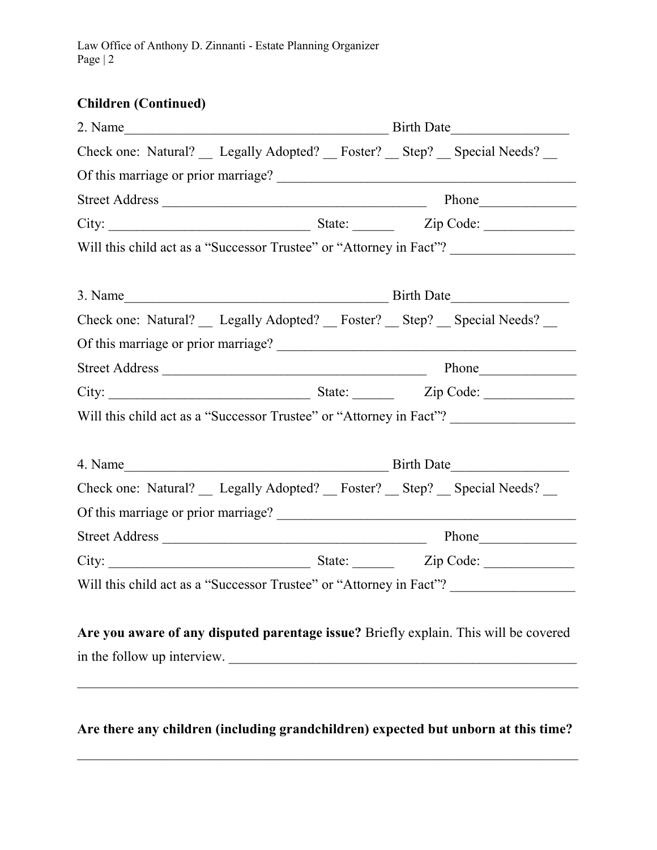# Children (Continued)

| Check one: Natural? __ Legally Adopted? __ Foster? __ Step? __ Special Needs? __                                    |
|---------------------------------------------------------------------------------------------------------------------|
|                                                                                                                     |
|                                                                                                                     |
|                                                                                                                     |
| Will this child act as a "Successor Trustee" or "Attorney in Fact"?                                                 |
|                                                                                                                     |
| Check one: Natural? Legally Adopted? Foster? Step? Special Needs?                                                   |
|                                                                                                                     |
|                                                                                                                     |
|                                                                                                                     |
| Will this child act as a "Successor Trustee" or "Attorney in Fact"?                                                 |
|                                                                                                                     |
| Check one: Natural? __ Legally Adopted? __ Foster? __ Step? __ Special Needs? __                                    |
|                                                                                                                     |
|                                                                                                                     |
|                                                                                                                     |
| Will this child act as a "Successor Trustee" or "Attorney in Fact"?                                                 |
| Are you aware of any disputed parentage issue? Briefly explain. This will be covered<br>in the follow up interview. |
| Are there any children (including grandchildren) expected but unborn at this time?                                  |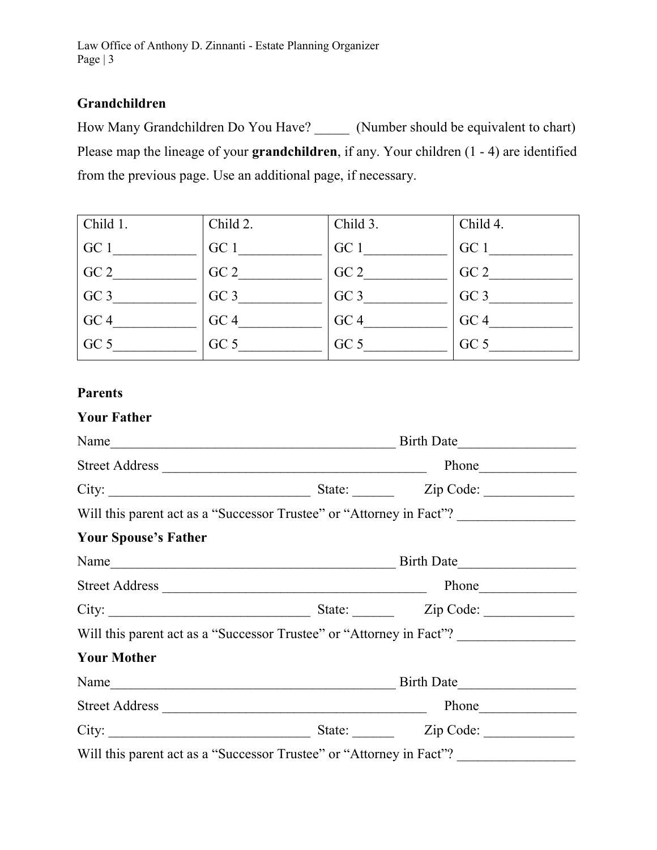# Grandchildren

How Many Grandchildren Do You Have? \_\_\_\_\_\_ (Number should be equivalent to chart) Please map the lineage of your grandchildren, if any. Your children (1 - 4) are identified from the previous page. Use an additional page, if necessary.

| Child 1.        | Child 2.        | Child 3.        | Child 4.        |
|-----------------|-----------------|-----------------|-----------------|
| GC 1            | GC 1            | GC 1            | GC 1            |
| GC <sub>2</sub> | GC <sub>2</sub> | GC <sub>2</sub> | GC <sub>2</sub> |
| GC <sub>3</sub> | GC <sub>3</sub> | GC <sub>3</sub> | GC <sub>3</sub> |
| GC <sub>4</sub> | GC <sub>4</sub> | GC <sub>4</sub> | GC <sub>4</sub> |
| GC <sub>5</sub> | GC <sub>5</sub> | GC <sub>5</sub> | GC <sub>5</sub> |

# Parents

## Your Father

|                             | Name<br>Birth Date                                                   |                                                                      |  |
|-----------------------------|----------------------------------------------------------------------|----------------------------------------------------------------------|--|
|                             |                                                                      | Phone                                                                |  |
| City:                       |                                                                      | State: <u>Zip Code:</u>                                              |  |
|                             |                                                                      | Will this parent act as a "Successor Trustee" or "Attorney in Fact"? |  |
| <b>Your Spouse's Father</b> |                                                                      |                                                                      |  |
| Name                        |                                                                      | Birth Date                                                           |  |
|                             |                                                                      |                                                                      |  |
| City:                       |                                                                      | State: <u>Zip Code:</u>                                              |  |
|                             | Will this parent act as a "Successor Trustee" or "Attorney in Fact"? |                                                                      |  |
| <b>Your Mother</b>          |                                                                      |                                                                      |  |
|                             |                                                                      |                                                                      |  |
|                             |                                                                      | Phone                                                                |  |
| City:                       |                                                                      | State: Zip Code:                                                     |  |
|                             | Will this parent act as a "Successor Trustee" or "Attorney in Fact"? |                                                                      |  |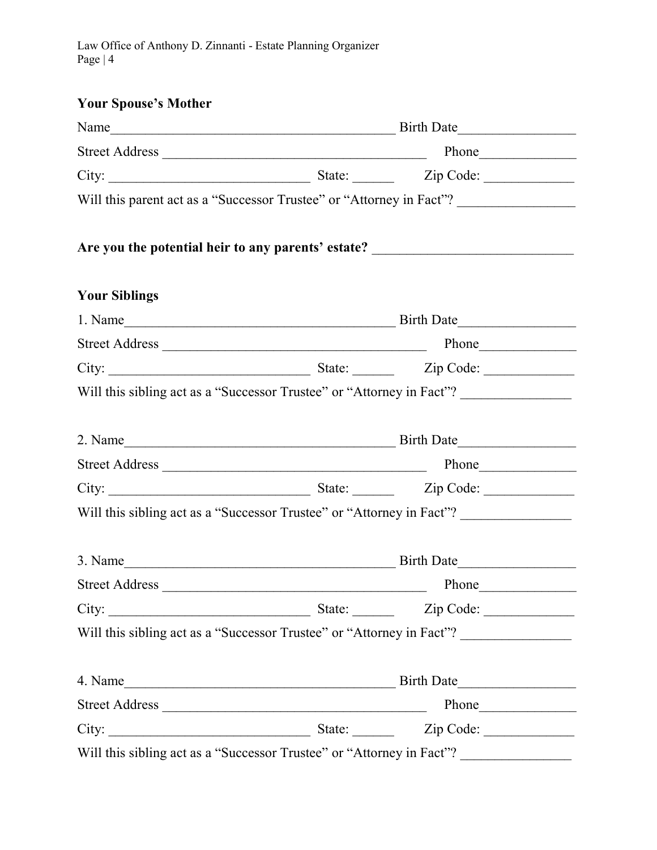# Your Spouse's Mother

|                      | Will this parent act as a "Successor Trustee" or "Attorney in Fact"?              |
|----------------------|-----------------------------------------------------------------------------------|
|                      | Are you the potential heir to any parents' estate? ______________________________ |
| <b>Your Siblings</b> |                                                                                   |
|                      |                                                                                   |
|                      |                                                                                   |
|                      |                                                                                   |
|                      | Will this sibling act as a "Successor Trustee" or "Attorney in Fact"?             |
|                      |                                                                                   |
|                      |                                                                                   |
|                      |                                                                                   |
|                      | Will this sibling act as a "Successor Trustee" or "Attorney in Fact"?             |
|                      |                                                                                   |
|                      |                                                                                   |
| City:                | State: <u>Zip Code:</u>                                                           |
|                      | Will this sibling act as a "Successor Trustee" or "Attorney in Fact"?             |
|                      |                                                                                   |
|                      |                                                                                   |
|                      |                                                                                   |
|                      | Will this sibling act as a "Successor Trustee" or "Attorney in Fact"?             |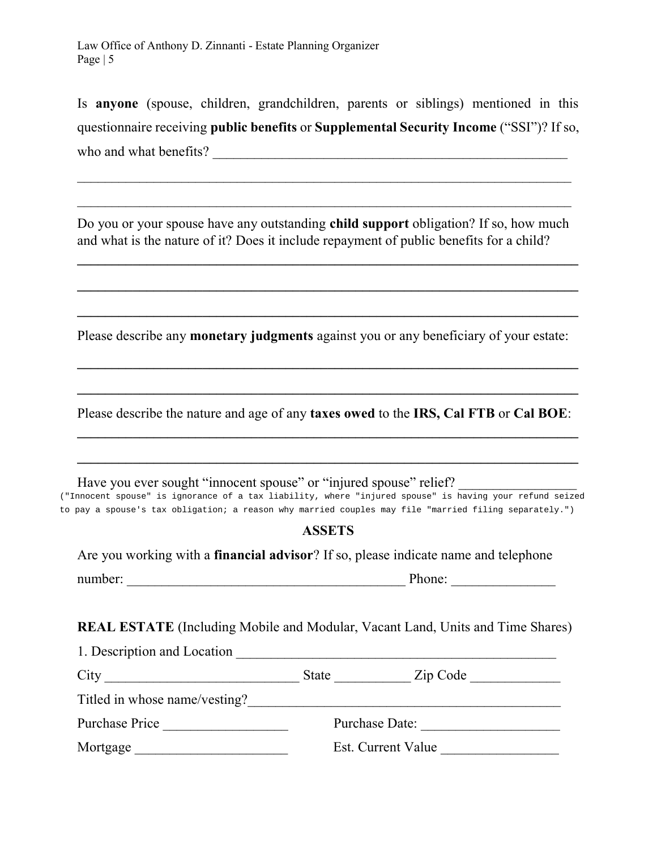Is anyone (spouse, children, grandchildren, parents or siblings) mentioned in this questionnaire receiving public benefits or Supplemental Security Income ("SSI")? If so, who and what benefits? \_\_\_\_\_\_\_\_\_\_\_\_\_\_\_\_\_\_\_\_\_\_\_\_\_\_\_\_\_\_\_\_\_\_\_\_\_\_\_\_\_\_\_\_\_\_\_\_\_\_\_

Do you or your spouse have any outstanding child support obligation? If so, how much and what is the nature of it? Does it include repayment of public benefits for a child?

 $\mathcal{L}_\mathcal{L}$  , and the contribution of the contribution of the contribution of the contribution of the contribution of the contribution of the contribution of the contribution of the contribution of the contribution of

 $\mathcal{L}_\text{max}$  , and the contract of the contract of the contract of the contract of the contract of the contract of the contract of the contract of the contract of the contract of the contract of the contract of the contr

\_\_\_\_\_\_\_\_\_\_\_\_\_\_\_\_\_\_\_\_\_\_\_\_\_\_\_\_\_\_\_\_\_\_\_\_\_\_\_\_\_\_\_\_\_\_\_\_\_\_\_\_\_\_\_\_\_\_\_\_\_\_\_\_\_\_\_\_\_\_\_\_

 $\mathcal{L}_\text{max} = \frac{1}{2} \sum_{i=1}^n \mathcal{L}_\text{max}(\mathbf{z}_i - \mathbf{z}_i)$ 

Please describe any **monetary judgments** against you or any beneficiary of your estate:

Please describe the nature and age of any taxes owed to the IRS, Cal FTB or Cal BOE:

 $\mathcal{L}_\text{max}$  , and the contract of the contract of the contract of the contract of the contract of the contract of the contract of the contract of the contract of the contract of the contract of the contract of the contr

 $\mathcal{L}_\text{max}$  , and the contract of the contract of the contract of the contract of the contract of the contract of the contract of the contract of the contract of the contract of the contract of the contract of the contr

 $\mathcal{L}_\mathcal{L} = \{ \mathcal{L}_\mathcal{L} = \{ \mathcal{L}_\mathcal{L} = \{ \mathcal{L}_\mathcal{L} = \{ \mathcal{L}_\mathcal{L} = \{ \mathcal{L}_\mathcal{L} = \{ \mathcal{L}_\mathcal{L} = \{ \mathcal{L}_\mathcal{L} = \{ \mathcal{L}_\mathcal{L} = \{ \mathcal{L}_\mathcal{L} = \{ \mathcal{L}_\mathcal{L} = \{ \mathcal{L}_\mathcal{L} = \{ \mathcal{L}_\mathcal{L} = \{ \mathcal{L}_\mathcal{L} = \{ \mathcal{L}_\mathcal{$ 

Have you ever sought "innocent spouse" or "injured spouse" relief? ("Innocent spouse" is ignorance of a tax liability, where "injured spouse" is having your refund seized to pay a spouse's tax obligation; a reason why married couples may file "married filing separately.")

#### ASSETS

Are you working with a financial advisor? If so, please indicate name and telephone

number:  $\frac{1}{\sqrt{1-\frac{1}{2}}\sqrt{1-\frac{1}{2}}\sqrt{1-\frac{1}{2}}\sqrt{1-\frac{1}{2}}\sqrt{1-\frac{1}{2}}\sqrt{1-\frac{1}{2}}\sqrt{1-\frac{1}{2}}\sqrt{1-\frac{1}{2}}\sqrt{1-\frac{1}{2}}\sqrt{1-\frac{1}{2}}\sqrt{1-\frac{1}{2}}\sqrt{1-\frac{1}{2}}\sqrt{1-\frac{1}{2}}\sqrt{1-\frac{1}{2}}\sqrt{1-\frac{1}{2}}\sqrt{1-\frac{1}{2}}\sqrt{1-\frac{1}{2}}\sqrt{1-\frac{1}{2}}\sqrt{1-\frac{1}{$ 

REAL ESTATE (Including Mobile and Modular, Vacant Land, Units and Time Shares)

| 1. Description and Location   |                |                    |  |
|-------------------------------|----------------|--------------------|--|
| City                          | <b>State</b>   | Zip Code           |  |
| Titled in whose name/vesting? |                |                    |  |
| Purchase Price                | Purchase Date: |                    |  |
| Mortgage                      |                | Est. Current Value |  |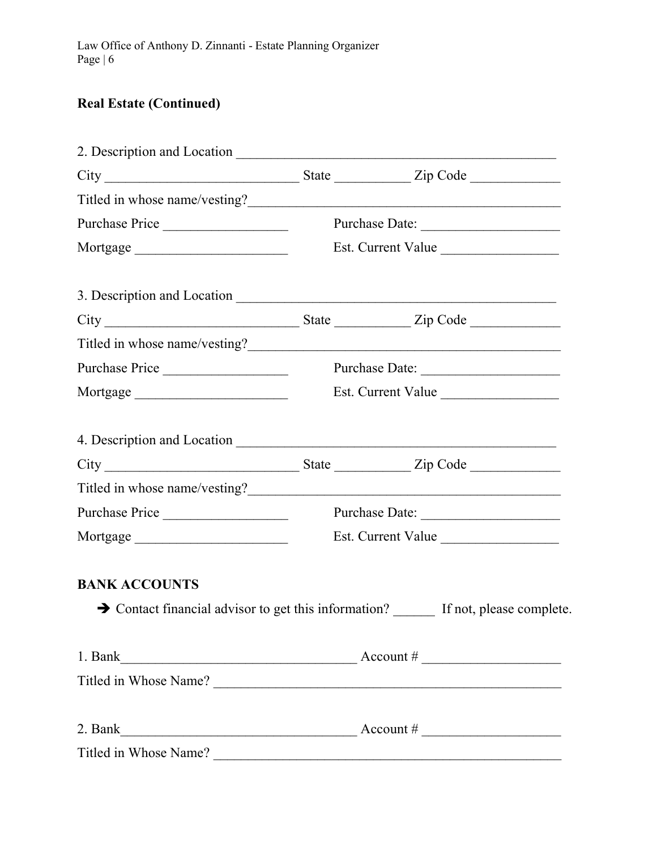# Real Estate (Continued)

| Purchase Price                                                                                                                                                                                                                                                                                                                       |                    |                                                                                                   |
|--------------------------------------------------------------------------------------------------------------------------------------------------------------------------------------------------------------------------------------------------------------------------------------------------------------------------------------|--------------------|---------------------------------------------------------------------------------------------------|
| Mortgage                                                                                                                                                                                                                                                                                                                             | Est. Current Value |                                                                                                   |
|                                                                                                                                                                                                                                                                                                                                      |                    |                                                                                                   |
| $City$ $\rule{1em}{0.15mm}$ $\rule{1em}{0.15mm}$ $\rule{1em}{0.15mm}$ $\rule{1em}{0.15mm}$ $\qquad$ $\qquad$ $\qquad$ $\qquad$ $\qquad$ $\qquad$ $\qquad$ $\qquad$ $\qquad$ $\qquad$ $\qquad$ $\qquad$ $\qquad$ $\qquad$ $\qquad$ $\qquad$ $\qquad$ $\qquad$ $\qquad$ $\qquad$ $\qquad$ $\qquad$ $\qquad$ $\qquad$ $\qquad$ $\qquad$ |                    |                                                                                                   |
|                                                                                                                                                                                                                                                                                                                                      |                    |                                                                                                   |
| Purchase Price                                                                                                                                                                                                                                                                                                                       |                    |                                                                                                   |
| Mortgage                                                                                                                                                                                                                                                                                                                             | Est. Current Value |                                                                                                   |
|                                                                                                                                                                                                                                                                                                                                      |                    |                                                                                                   |
|                                                                                                                                                                                                                                                                                                                                      |                    |                                                                                                   |
|                                                                                                                                                                                                                                                                                                                                      |                    |                                                                                                   |
| Purchase Price                                                                                                                                                                                                                                                                                                                       |                    |                                                                                                   |
|                                                                                                                                                                                                                                                                                                                                      | Est. Current Value |                                                                                                   |
| <b>BANK ACCOUNTS</b>                                                                                                                                                                                                                                                                                                                 |                    |                                                                                                   |
|                                                                                                                                                                                                                                                                                                                                      |                    | $\rightarrow$ Contact financial advisor to get this information? $\quad$ If not, please complete. |
| 1. Bank $\frac{1}{2}$ Account #                                                                                                                                                                                                                                                                                                      |                    |                                                                                                   |
|                                                                                                                                                                                                                                                                                                                                      |                    |                                                                                                   |
| 2. Bank $\overline{\phantom{a}}$ Account #                                                                                                                                                                                                                                                                                           |                    |                                                                                                   |
|                                                                                                                                                                                                                                                                                                                                      |                    |                                                                                                   |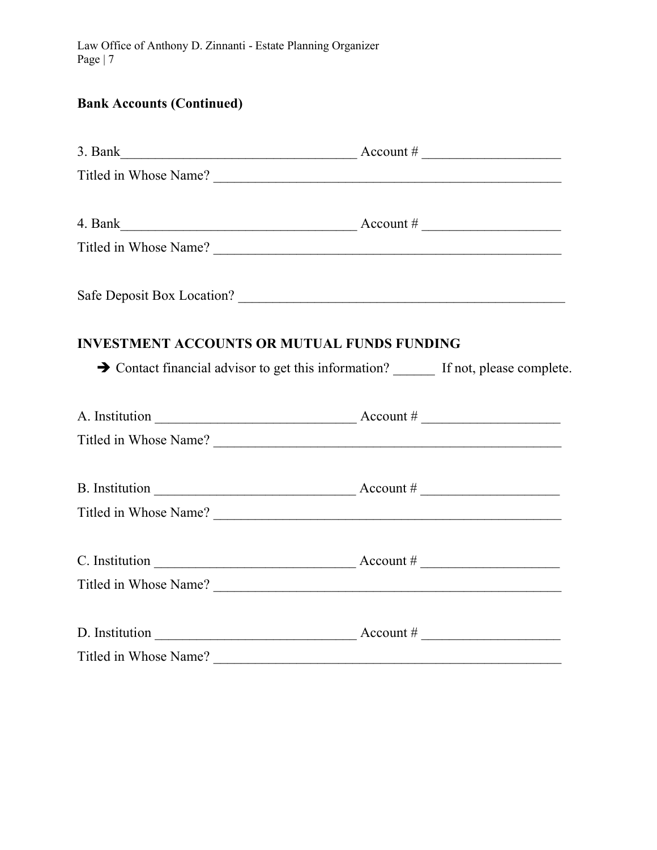# Bank Accounts (Continued)

|                                                    | 3. Bank $\qquad \qquad$ Account #                                                                                                                                                                                                                                                                                                                                                                                                              |
|----------------------------------------------------|------------------------------------------------------------------------------------------------------------------------------------------------------------------------------------------------------------------------------------------------------------------------------------------------------------------------------------------------------------------------------------------------------------------------------------------------|
|                                                    | Titled in Whose Name?                                                                                                                                                                                                                                                                                                                                                                                                                          |
|                                                    | 4. Bank $\frac{1}{2}$ Account #                                                                                                                                                                                                                                                                                                                                                                                                                |
|                                                    | Titled in Whose Name?                                                                                                                                                                                                                                                                                                                                                                                                                          |
|                                                    | Safe Deposit Box Location?                                                                                                                                                                                                                                                                                                                                                                                                                     |
| <b>INVESTMENT ACCOUNTS OR MUTUAL FUNDS FUNDING</b> | Solution Contact financial advisor to get this information? If not, please complete.                                                                                                                                                                                                                                                                                                                                                           |
|                                                    | A. Institution $\frac{1}{\sqrt{1-\frac{1}{\sqrt{1-\frac{1}{\sqrt{1-\frac{1}{\sqrt{1-\frac{1}{\sqrt{1-\frac{1}{\sqrt{1-\frac{1}{\sqrt{1-\frac{1}{\sqrt{1-\frac{1}{\sqrt{1-\frac{1}{\sqrt{1-\frac{1}{\sqrt{1-\frac{1}{\sqrt{1-\frac{1}{\sqrt{1-\frac{1}{\sqrt{1-\frac{1}{\sqrt{1-\frac{1}{\sqrt{1-\frac{1}{\sqrt{1-\frac{1}{\sqrt{1-\frac{1}{\sqrt{1-\frac{1}{\sqrt{1-\frac{1}{\sqrt{1-\frac{1}{\sqrt{1-\frac{1}{\sqrt$<br>Titled in Whose Name? |
|                                                    | B. Institution $\frac{1}{\sqrt{1-\frac{1}{\sqrt{1-\frac{1}{\sqrt{1-\frac{1}{\sqrt{1-\frac{1}{\sqrt{1-\frac{1}{\sqrt{1-\frac{1}{\sqrt{1-\frac{1}{\sqrt{1-\frac{1}{\sqrt{1-\frac{1}{\sqrt{1-\frac{1}{\sqrt{1-\frac{1}{\sqrt{1-\frac{1}{\sqrt{1-\frac{1}{\sqrt{1-\frac{1}{\sqrt{1-\frac{1}{\sqrt{1-\frac{1}{\sqrt{1-\frac{1}{\sqrt{1-\frac{1}{\sqrt{1-\frac{1}{\sqrt{1-\frac{1}{\sqrt{1-\frac{1}{\sqrt{1-\frac{1}{\sqrt$                          |
|                                                    | C. Institution $\_\_\_\_\_\_\_\_\_\_\_\_\_\_\_\_\_\_\_\_\_\_\_\_\_\_\_\_\_\_$<br>Titled in Whose Name?                                                                                                                                                                                                                                                                                                                                         |
|                                                    | D. Institution $\frac{1}{\sqrt{1-\frac{1}{2}}\sqrt{1-\frac{1}{2}}\sqrt{1-\frac{1}{2}}\sqrt{1-\frac{1}{2}}\sqrt{1-\frac{1}{2}}\sqrt{1-\frac{1}{2}}\sqrt{1-\frac{1}{2}}\sqrt{1-\frac{1}{2}}\sqrt{1-\frac{1}{2}}\sqrt{1-\frac{1}{2}}\sqrt{1-\frac{1}{2}}\sqrt{1-\frac{1}{2}}\sqrt{1-\frac{1}{2}}\sqrt{1-\frac{1}{2}}\sqrt{1-\frac{1}{2}}\sqrt{1-\frac{1}{2}}\sqrt{1-\frac{1}{2}}\sqrt{1-\frac{1}{2}}\sqrt$<br>Titled in Whose Name?               |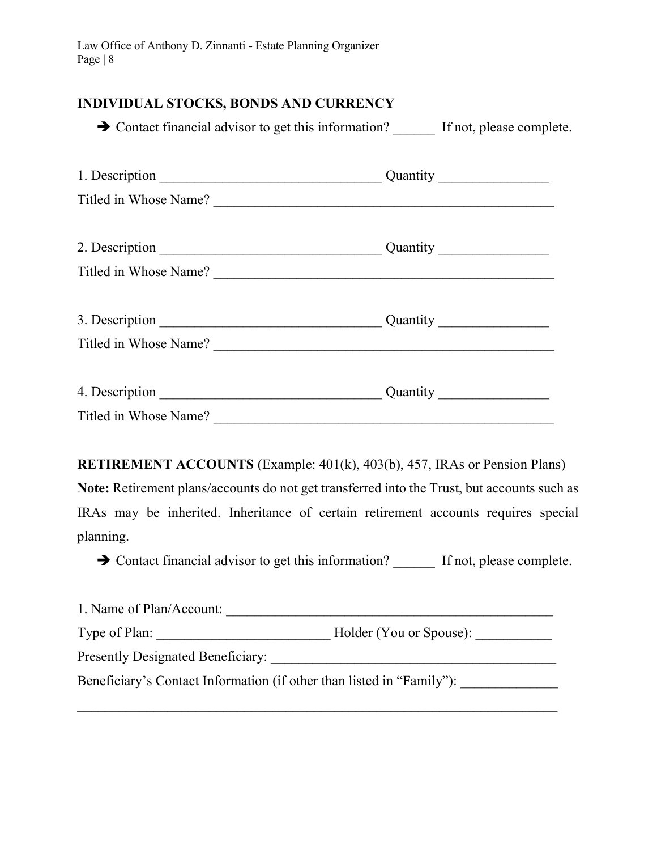# INDIVIDUAL STOCKS, BONDS AND CURRENCY

→ Contact financial advisor to get this information? If not, please complete.

| Titled in Whose Name? |  |
|-----------------------|--|
|                       |  |
|                       |  |
| Titled in Whose Name? |  |
|                       |  |
|                       |  |
| Titled in Whose Name? |  |
|                       |  |
|                       |  |
| Titled in Whose Name? |  |

RETIREMENT ACCOUNTS (Example: 401(k), 403(b), 457, IRAs or Pension Plans) Note: Retirement plans/accounts do not get transferred into the Trust, but accounts such as IRAs may be inherited. Inheritance of certain retirement accounts requires special planning.

 $\rightarrow$  Contact financial advisor to get this information? If not, please complete.

| 1. Name of Plan/Account:                                              |                         |
|-----------------------------------------------------------------------|-------------------------|
| Type of Plan:                                                         | Holder (You or Spouse): |
| <b>Presently Designated Beneficiary:</b>                              |                         |
| Beneficiary's Contact Information (if other than listed in "Family"): |                         |

 $\mathcal{L}_\text{max} = \mathcal{L}_\text{max} = \mathcal{L}_\text{max} = \mathcal{L}_\text{max} = \mathcal{L}_\text{max} = \mathcal{L}_\text{max} = \mathcal{L}_\text{max} = \mathcal{L}_\text{max} = \mathcal{L}_\text{max} = \mathcal{L}_\text{max} = \mathcal{L}_\text{max} = \mathcal{L}_\text{max} = \mathcal{L}_\text{max} = \mathcal{L}_\text{max} = \mathcal{L}_\text{max} = \mathcal{L}_\text{max} = \mathcal{L}_\text{max} = \mathcal{L}_\text{max} = \mathcal{$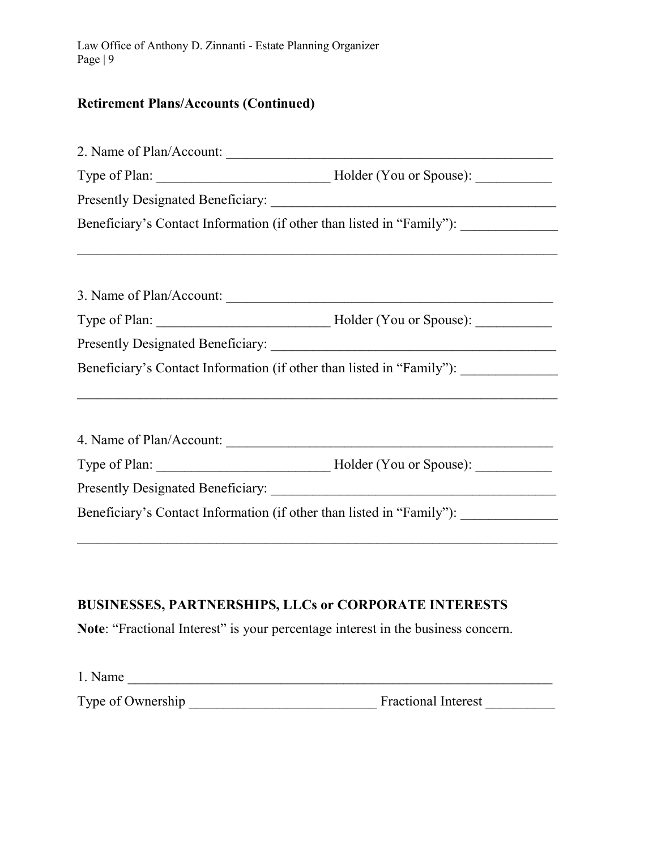# Retirement Plans/Accounts (Continued)

|                   | Beneficiary's Contact Information (if other than listed in "Family"): ___________                                    |  |
|-------------------|----------------------------------------------------------------------------------------------------------------------|--|
|                   | ,我们也不会有什么。""我们的人,我们也不会有什么?""我们的人,我们也不会有什么?""我们的人,我们也不会有什么?""我们的人,我们也不会有什么?""我们的人                                     |  |
|                   | 3. Name of Plan/Account:                                                                                             |  |
|                   |                                                                                                                      |  |
|                   |                                                                                                                      |  |
|                   | Beneficiary's Contact Information (if other than listed in "Family"): ___________                                    |  |
|                   |                                                                                                                      |  |
|                   |                                                                                                                      |  |
|                   |                                                                                                                      |  |
|                   | Beneficiary's Contact Information (if other than listed in "Family"): ___________                                    |  |
|                   | <u> 1989 - Jan James James James James James James James James James James James James James James James James J</u> |  |
|                   | <b>BUSINESSES, PARTNERSHIPS, LLCs or CORPORATE INTERESTS</b>                                                         |  |
|                   | Note: "Fractional Interest" is your percentage interest in the business concern.                                     |  |
| $1. Name \_$      |                                                                                                                      |  |
| Type of Ownership | Fractional Interest                                                                                                  |  |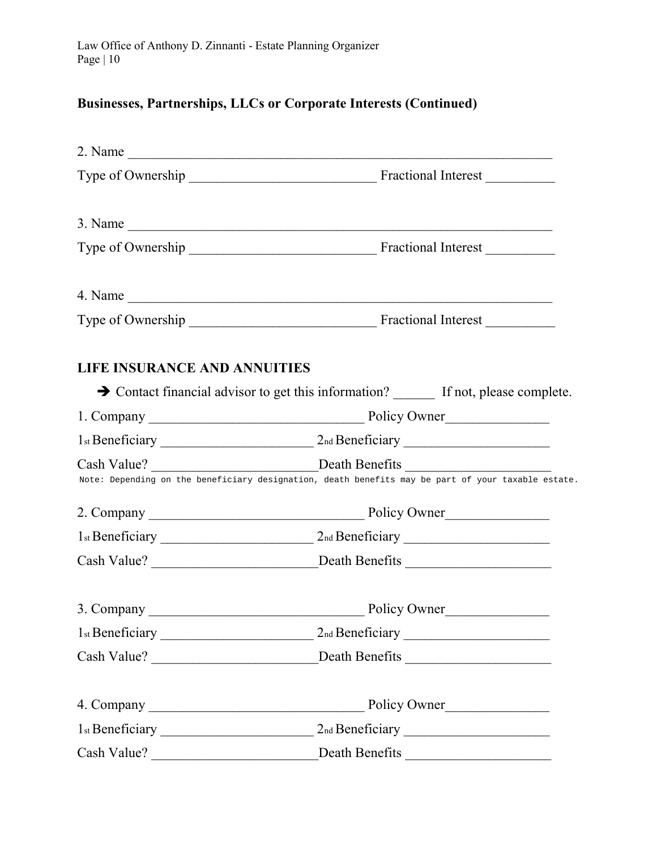# Businesses, Partnerships, LLCs or Corporate Interests (Continued)

|                                     | $4. Name \_$                                                                                       |                                                   |
|-------------------------------------|----------------------------------------------------------------------------------------------------|---------------------------------------------------|
|                                     |                                                                                                    |                                                   |
| <b>LIFE INSURANCE AND ANNUITIES</b> |                                                                                                    |                                                   |
|                                     | Solution Contact financial advisor to get this information? _______ If not, please complete.       |                                                   |
|                                     |                                                                                                    |                                                   |
|                                     |                                                                                                    |                                                   |
|                                     | Note: Depending on the beneficiary designation, death benefits may be part of your taxable estate. |                                                   |
|                                     |                                                                                                    |                                                   |
|                                     |                                                                                                    |                                                   |
|                                     | Cash Value? __________________________________Death Benefits ____________________                  |                                                   |
|                                     |                                                                                                    |                                                   |
|                                     |                                                                                                    |                                                   |
|                                     |                                                                                                    |                                                   |
|                                     |                                                                                                    |                                                   |
|                                     |                                                                                                    |                                                   |
| Cash Value?                         | Death Benefits                                                                                     | <u> 1980 - John Stein, amerikansk politiker (</u> |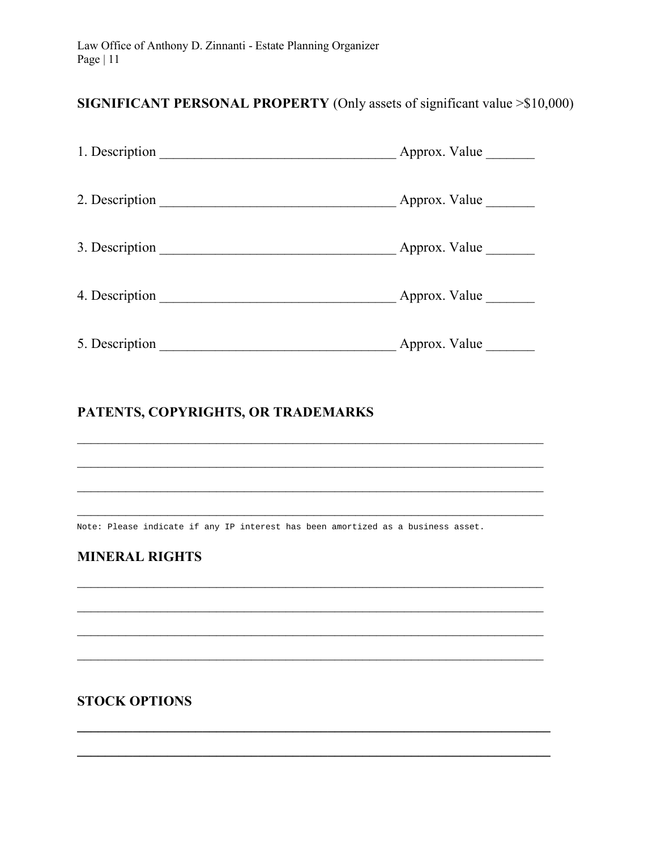# SIGNIFICANT PERSONAL PROPERTY (Only assets of significant value > \$10,000)

| 1. Description | Approx. Value |
|----------------|---------------|
| 2. Description | Approx. Value |
| 3. Description | Approx. Value |
| 4. Description | Approx. Value |
| 5. Description | Approx. Value |

# PATENTS, COPYRIGHTS, OR TRADEMARKS

Note: Please indicate if any IP interest has been amortized as a business asset.

# **MINERAL RIGHTS**

**STOCK OPTIONS**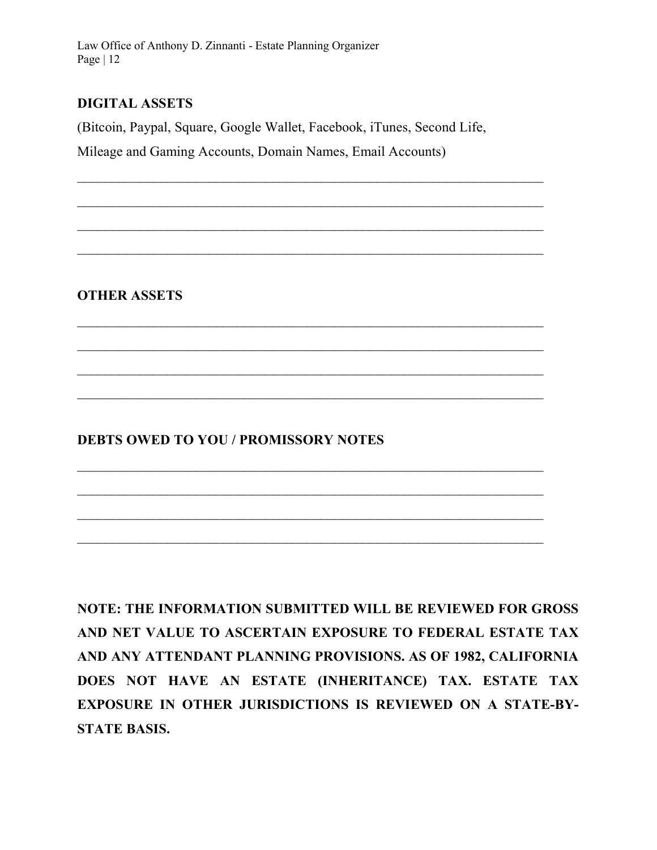# DIGITAL ASSETS

(Bitcoin, Paypal, Square, Google Wallet, Facebook, iTunes, Second Life,

 $\mathcal{L}_\text{max} = \mathcal{L}_\text{max} = \mathcal{L}_\text{max} = \mathcal{L}_\text{max} = \mathcal{L}_\text{max} = \mathcal{L}_\text{max} = \mathcal{L}_\text{max} = \mathcal{L}_\text{max} = \mathcal{L}_\text{max} = \mathcal{L}_\text{max} = \mathcal{L}_\text{max} = \mathcal{L}_\text{max} = \mathcal{L}_\text{max} = \mathcal{L}_\text{max} = \mathcal{L}_\text{max} = \mathcal{L}_\text{max} = \mathcal{L}_\text{max} = \mathcal{L}_\text{max} = \mathcal{$ 

 $\mathcal{L}_\text{max} = \mathcal{L}_\text{max} = \mathcal{L}_\text{max} = \mathcal{L}_\text{max} = \mathcal{L}_\text{max} = \mathcal{L}_\text{max} = \mathcal{L}_\text{max} = \mathcal{L}_\text{max} = \mathcal{L}_\text{max} = \mathcal{L}_\text{max} = \mathcal{L}_\text{max} = \mathcal{L}_\text{max} = \mathcal{L}_\text{max} = \mathcal{L}_\text{max} = \mathcal{L}_\text{max} = \mathcal{L}_\text{max} = \mathcal{L}_\text{max} = \mathcal{L}_\text{max} = \mathcal{$ 

 $\mathcal{L}_\text{max} = \mathcal{L}_\text{max} = \mathcal{L}_\text{max} = \mathcal{L}_\text{max} = \mathcal{L}_\text{max} = \mathcal{L}_\text{max} = \mathcal{L}_\text{max} = \mathcal{L}_\text{max} = \mathcal{L}_\text{max} = \mathcal{L}_\text{max} = \mathcal{L}_\text{max} = \mathcal{L}_\text{max} = \mathcal{L}_\text{max} = \mathcal{L}_\text{max} = \mathcal{L}_\text{max} = \mathcal{L}_\text{max} = \mathcal{L}_\text{max} = \mathcal{L}_\text{max} = \mathcal{$ 

 $\mathcal{L}_\text{max}$  and  $\mathcal{L}_\text{max}$  and  $\mathcal{L}_\text{max}$  and  $\mathcal{L}_\text{max}$  and  $\mathcal{L}_\text{max}$  and  $\mathcal{L}_\text{max}$ 

 $\mathcal{L}_\text{max}$  and  $\mathcal{L}_\text{max}$  and  $\mathcal{L}_\text{max}$  and  $\mathcal{L}_\text{max}$  and  $\mathcal{L}_\text{max}$  and  $\mathcal{L}_\text{max}$ 

Mileage and Gaming Accounts, Domain Names, Email Accounts)

OTHER ASSETS

# DEBTS OWED TO YOU / PROMISSORY NOTES

NOTE: THE INFORMATION SUBMITTED WILL BE REVIEWED FOR GROSS AND NET VALUE TO ASCERTAIN EXPOSURE TO FEDERAL ESTATE TAX AND ANY ATTENDANT PLANNING PROVISIONS. AS OF 1982, CALIFORNIA DOES NOT HAVE AN ESTATE (INHERITANCE) TAX. ESTATE TAX EXPOSURE IN OTHER JURISDICTIONS IS REVIEWED ON A STATE-BY-STATE BASIS.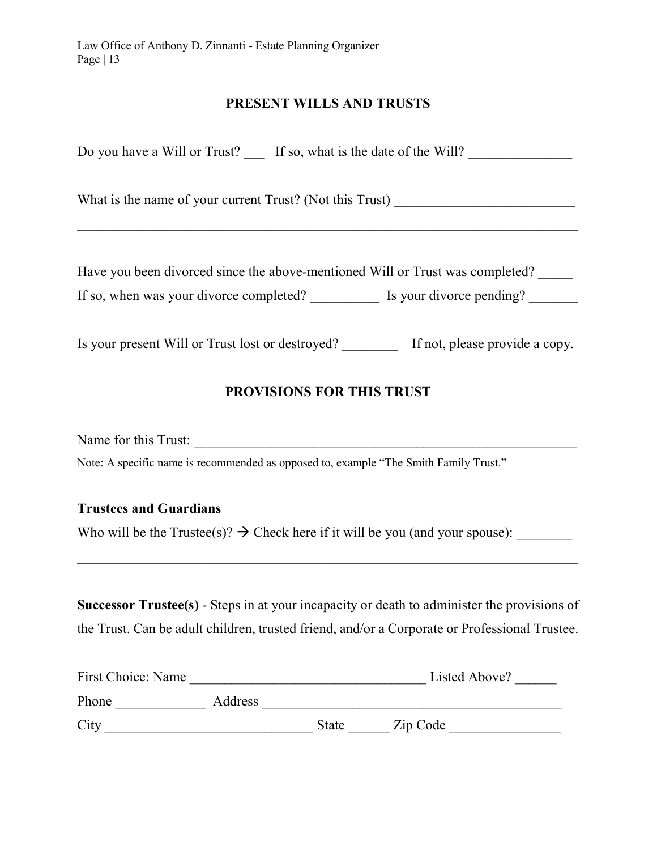#### PRESENT WILLS AND TRUSTS

| Do you have a Will or Trust? If so, what is the date of the Will?                                                                                 |  |
|---------------------------------------------------------------------------------------------------------------------------------------------------|--|
| What is the name of your current Trust? (Not this Trust)                                                                                          |  |
| Have you been divorced since the above-mentioned Will or Trust was completed?<br>If so, when was your divorce completed? Is your divorce pending? |  |

Is your present Will or Trust lost or destroyed? If not, please provide a copy.

# PROVISIONS FOR THIS TRUST

Name for this Trust:

Note: A specific name is recommended as opposed to, example "The Smith Family Trust."

#### Trustees and Guardians

Who will be the Trustee(s)?  $\rightarrow$  Check here if it will be you (and your spouse):

Successor Trustee(s) - Steps in at your incapacity or death to administer the provisions of the Trust. Can be adult children, trusted friend, and/or a Corporate or Professional Trustee.

 $\mathcal{L}_\text{max} = \frac{1}{2} \sum_{i=1}^n \mathcal{L}_\text{max}(\mathbf{z}_i - \mathbf{z}_i)$ 

| First Choice: Name |         |              | Listed Above? |
|--------------------|---------|--------------|---------------|
| Phone              | Address |              |               |
| City               |         | <b>State</b> | Zip Code      |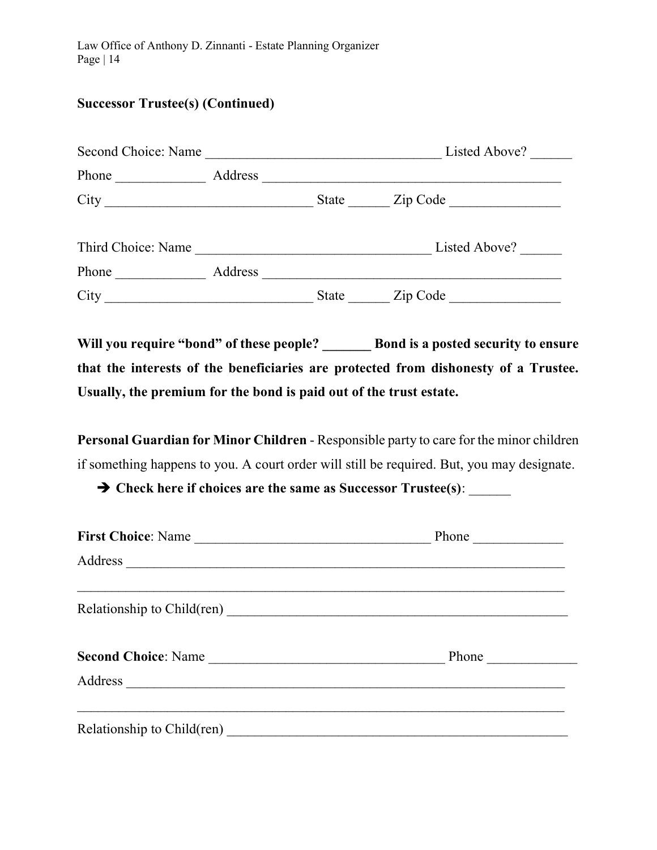## Successor Trustee(s) (Continued)

| Second Choice: Name            |         |                                         | Listed Above? |
|--------------------------------|---------|-----------------------------------------|---------------|
| Phone                          | Address |                                         |               |
|                                |         | State                                   | Zip Code      |
| Third Choice: Name             |         | <u> 1980 - Johann Barbara, martin d</u> | Listed Above? |
| Phone<br><u> 1999 - Jan Ja</u> | Address |                                         |               |
| City                           |         | State                                   | Zip Code      |

Will you require "bond" of these people? Bond is a posted security to ensure that the interests of the beneficiaries are protected from dishonesty of a Trustee. Usually, the premium for the bond is paid out of the trust estate.

Personal Guardian for Minor Children - Responsible party to care for the minor children if something happens to you. A court order will still be required. But, you may designate.

 $\rightarrow$  Check here if choices are the same as Successor Trustee(s):

| First Choice: Name  | Phone          |
|---------------------|----------------|
|                     |                |
|                     |                |
| Second Choice: Name | Phone $\qquad$ |
|                     |                |
|                     |                |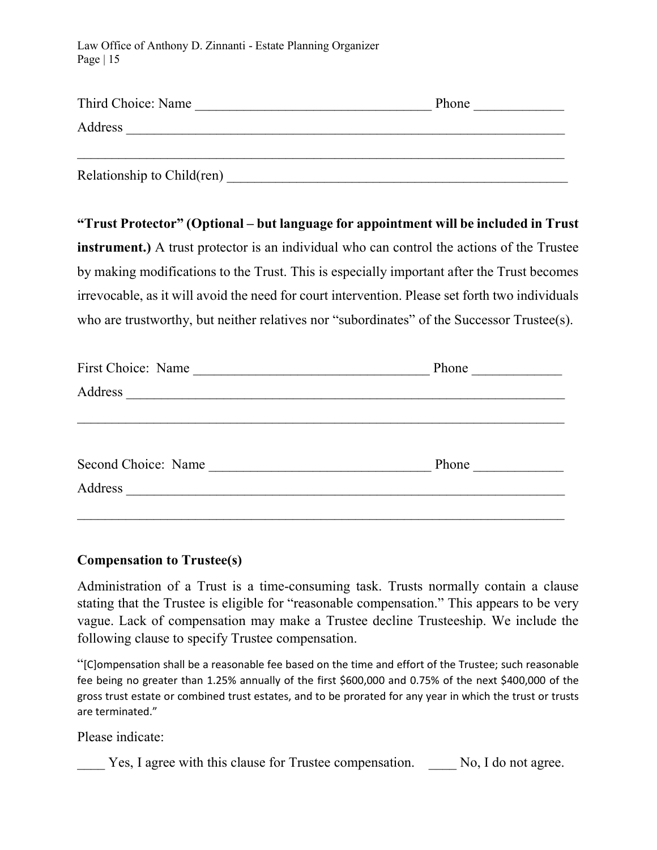| Third Choice: Name         | Phone |
|----------------------------|-------|
| Address                    |       |
| Relationship to Child(ren) |       |

"Trust Protector" (Optional – but language for appointment will be included in Trust instrument.) A trust protector is an individual who can control the actions of the Trustee by making modifications to the Trust. This is especially important after the Trust becomes irrevocable, as it will avoid the need for court intervention. Please set forth two individuals who are trustworthy, but neither relatives nor "subordinates" of the Successor Trustee(s).

| First Choice: Name                                                                                                                          | Phone |
|---------------------------------------------------------------------------------------------------------------------------------------------|-------|
| Address<br><u> 1989 - Andrea Station, amerikan basal pada sebagai personal personal personal personal personal personal per</u>             |       |
|                                                                                                                                             |       |
|                                                                                                                                             |       |
| Second Choice: Name<br><u> 1980 - Jan Samuel Barbara, prima populație de la provincia de la provincia de la provincia de la provincia d</u> | Phone |
| Address<br><u> 1989 - Andrea State Barbara, amerikan personal di sebagai personal di sebagai personal di sebagai personal d</u>             |       |
|                                                                                                                                             |       |

#### Compensation to Trustee(s)

Administration of a Trust is a time-consuming task. Trusts normally contain a clause stating that the Trustee is eligible for "reasonable compensation." This appears to be very vague. Lack of compensation may make a Trustee decline Trusteeship. We include the following clause to specify Trustee compensation.

"[C]ompensation shall be a reasonable fee based on the time and effort of the Trustee; such reasonable fee being no greater than 1.25% annually of the first \$600,000 and 0.75% of the next \$400,000 of the gross trust estate or combined trust estates, and to be prorated for any year in which the trust or trusts are terminated."

Please indicate:

\_\_\_\_ Yes, I agree with this clause for Trustee compensation. \_\_\_\_ No, I do not agree.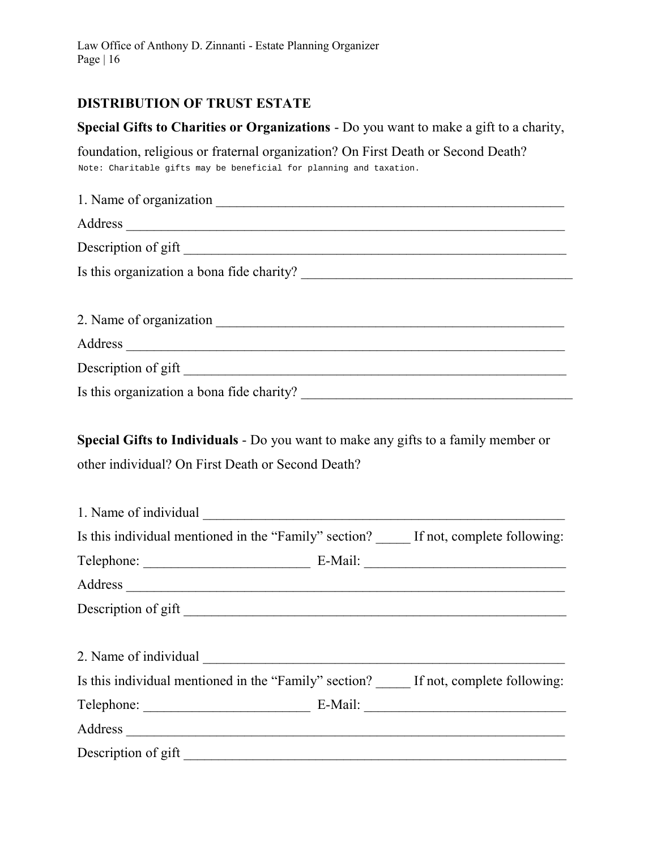## DISTRIBUTION OF TRUST ESTATE

# Special Gifts to Charities or Organizations - Do you want to make a gift to a charity,

foundation, religious or fraternal organization? On First Death or Second Death? Note: Charitable gifts may be beneficial for planning and taxation.

| 1. Name of organization                   |
|-------------------------------------------|
| Address                                   |
| Description of gift                       |
| Is this organization a bona fide charity? |
|                                           |
|                                           |
|                                           |
| Description of gift                       |
| Is this organization a bona fide charity? |

Special Gifts to Individuals - Do you want to make any gifts to a family member or other individual? On First Death or Second Death?

| 1. Name of individual |                                                                                   |
|-----------------------|-----------------------------------------------------------------------------------|
|                       | Is this individual mentioned in the "Family" section? If not, complete following: |
|                       |                                                                                   |
|                       |                                                                                   |
|                       |                                                                                   |
|                       |                                                                                   |
| 2. Name of individual |                                                                                   |
|                       | Is this individual mentioned in the "Family" section? If not, complete following: |
|                       |                                                                                   |
|                       |                                                                                   |
| Description of gift   |                                                                                   |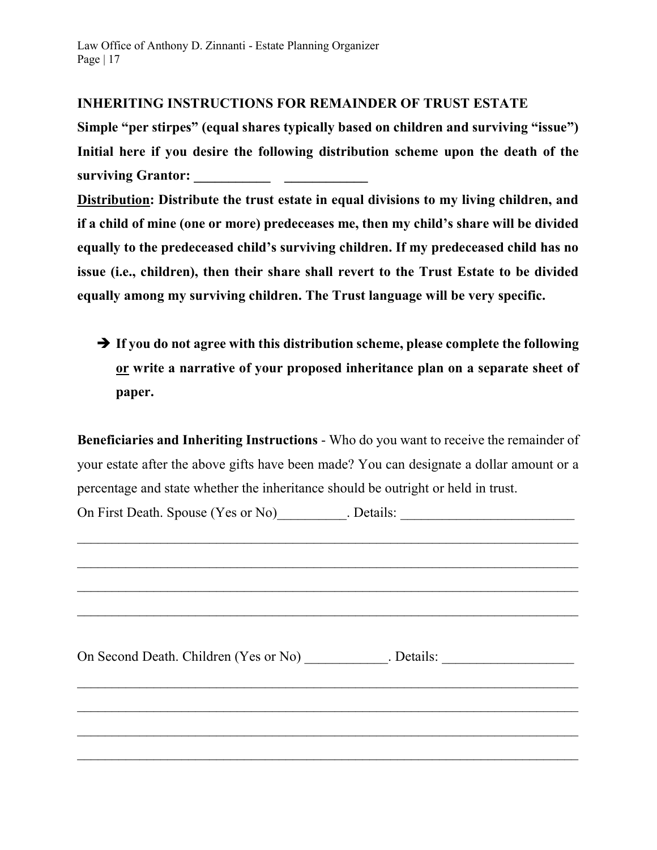## INHERITING INSTRUCTIONS FOR REMAINDER OF TRUST ESTATE

Simple "per stirpes" (equal shares typically based on children and surviving "issue") Initial here if you desire the following distribution scheme upon the death of the surviving Grantor: \_\_\_\_\_\_\_\_ \_\_\_\_\_\_\_

Distribution: Distribute the trust estate in equal divisions to my living children, and if a child of mine (one or more) predeceases me, then my child's share will be divided equally to the predeceased child's surviving children. If my predeceased child has no issue (i.e., children), then their share shall revert to the Trust Estate to be divided equally among my surviving children. The Trust language will be very specific.

 $\rightarrow$  If you do not agree with this distribution scheme, please complete the following or write a narrative of your proposed inheritance plan on a separate sheet of paper.

Beneficiaries and Inheriting Instructions - Who do you want to receive the remainder of your estate after the above gifts have been made? You can designate a dollar amount or a percentage and state whether the inheritance should be outright or held in trust.

On First Death. Spouse (Yes or No) Chails:  $\Box$  Details:

On Second Death. Children (Yes or No) \_\_\_\_\_\_\_\_\_\_\_. Details: \_\_\_\_\_\_\_\_\_\_\_\_\_\_\_\_\_\_\_\_  $\mathcal{L}_\text{max} = \frac{1}{2} \sum_{i=1}^n \mathcal{L}_\text{max}(\mathbf{z}_i - \mathbf{z}_i)$  $\mathcal{L}_\text{max} = \frac{1}{2} \sum_{i=1}^n \mathcal{L}_\text{max}(\mathbf{z}_i - \mathbf{z}_i)$  $\mathcal{L}_\text{max}$  and  $\mathcal{L}_\text{max}$  and  $\mathcal{L}_\text{max}$  and  $\mathcal{L}_\text{max}$  and  $\mathcal{L}_\text{max}$  and  $\mathcal{L}_\text{max}$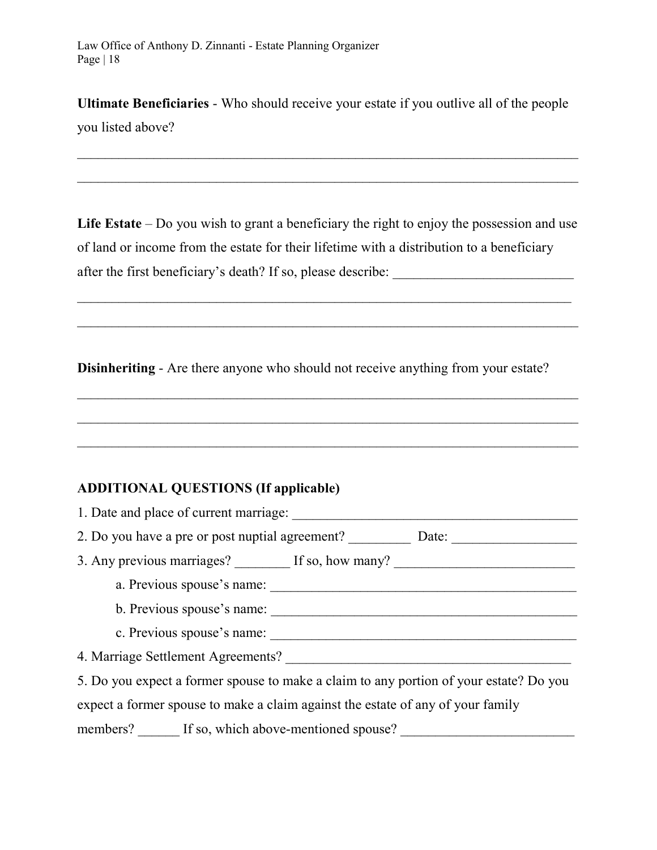Ultimate Beneficiaries - Who should receive your estate if you outlive all of the people

you listed above?

Life Estate – Do you wish to grant a beneficiary the right to enjoy the possession and use of land or income from the estate for their lifetime with a distribution to a beneficiary after the first beneficiary's death? If so, please describe: \_\_\_\_\_\_\_\_\_\_\_\_\_\_\_\_\_\_\_\_\_\_\_\_\_\_

 $\_$  ,  $\_$  ,  $\_$  ,  $\_$  ,  $\_$  ,  $\_$  ,  $\_$  ,  $\_$  ,  $\_$  ,  $\_$  ,  $\_$  ,  $\_$  ,  $\_$  ,  $\_$  ,  $\_$  ,  $\_$  ,  $\_$  ,  $\_$  ,  $\_$ 

Disinheriting - Are there anyone who should not receive anything from your estate?

 $\mathcal{L}_\text{max} = \frac{1}{2} \sum_{i=1}^n \mathcal{L}_\text{max}(\mathbf{z}_i - \mathbf{z}_i)$ 

## ADDITIONAL QUESTIONS (If applicable)

| 1. Date and place of current marriage:                                                 |
|----------------------------------------------------------------------------------------|
| 2. Do you have a pre or post nuptial agreement?<br>Date:                               |
| 3. Any previous marriages? If so, how many?                                            |
| a. Previous spouse's name:                                                             |
| b. Previous spouse's name:                                                             |
| c. Previous spouse's name:                                                             |
| 4. Marriage Settlement Agreements?                                                     |
| 5. Do you expect a former spouse to make a claim to any portion of your estate? Do you |
| expect a former spouse to make a claim against the estate of any of your family        |
| members? If so, which above-mentioned spouse?                                          |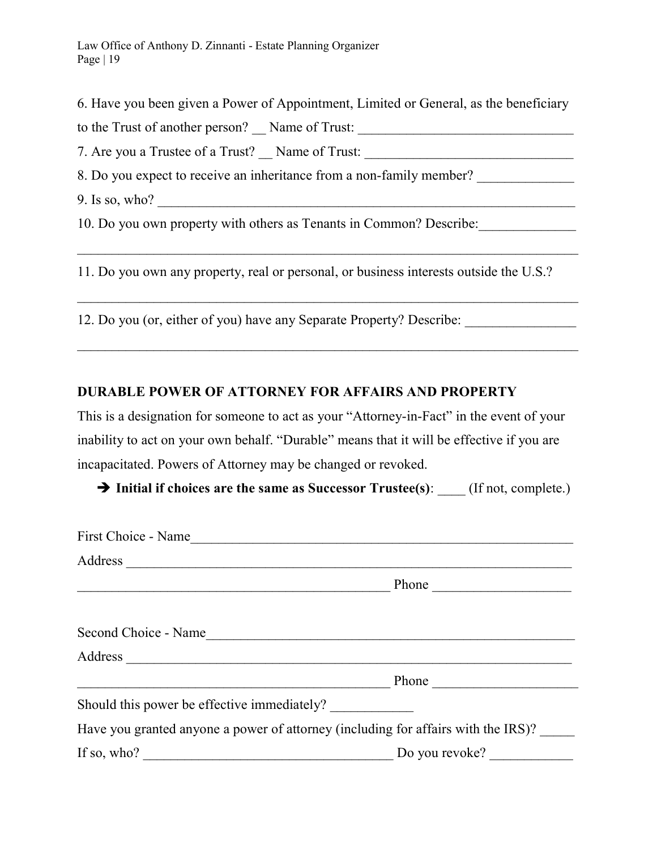6. Have you been given a Power of Appointment, Limited or General, as the beneficiary

to the Trust of another person? \_\_ Name of Trust: \_\_\_\_\_\_\_\_\_\_\_\_\_\_\_\_\_\_\_\_\_\_\_\_\_\_\_\_\_\_\_

7. Are you a Trustee of a Trust? Mame of Trust: All Are you a Trustee of a Trust? All Are  $\frac{1}{2}$  Name of Trust:

8. Do you expect to receive an inheritance from a non-family member?

9. Is so, who? \_\_\_\_\_\_\_\_\_\_\_\_\_\_\_\_\_\_\_\_\_\_\_\_\_\_\_\_\_\_\_\_\_\_\_\_\_\_\_\_\_\_\_\_\_\_\_\_\_\_\_\_\_\_\_\_\_\_\_\_

10. Do you own property with others as Tenants in Common? Describe:

11. Do you own any property, real or personal, or business interests outside the U.S.?

 $\mathcal{L}_\text{max} = \frac{1}{2} \sum_{i=1}^n \mathcal{L}_\text{max}(\mathbf{z}_i - \mathbf{z}_i)$ 

 $\overline{\phantom{a}}$  , and the contribution of the contribution of the contribution of the contribution of the contribution of the contribution of the contribution of the contribution of the contribution of the contribution of the

12. Do you (or, either of you) have any Separate Property? Describe: \_\_\_\_\_\_\_\_\_\_\_

# DURABLE POWER OF ATTORNEY FOR AFFAIRS AND PROPERTY

This is a designation for someone to act as your "Attorney-in-Fact" in the event of your inability to act on your own behalf. "Durable" means that it will be effective if you are incapacitated. Powers of Attorney may be changed or revoked.

 $\rightarrow$  Initial if choices are the same as Successor Trustee(s): (If not, complete.)

| First Choice - Name                                                               |                       |
|-----------------------------------------------------------------------------------|-----------------------|
| Address                                                                           |                       |
|                                                                                   | Phone $\qquad \qquad$ |
| Second Choice - Name                                                              |                       |
|                                                                                   |                       |
|                                                                                   | Phone                 |
| Should this power be effective immediately?                                       |                       |
| Have you granted anyone a power of attorney (including for affairs with the IRS)? |                       |
|                                                                                   |                       |